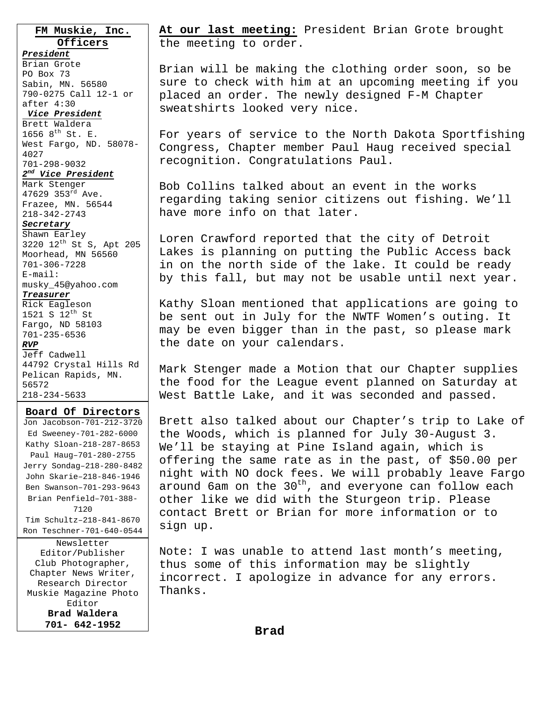**FM Muskie, Inc. Officers**

## *President*

Brian Grote PO Box 73 Sabin, MN. 56580 790-0275 Call 12-1 or after 4:30

#### *Vice President*

Brett Waldera 1656  $8^{th}$  St. E. West Fargo, ND. 58078- 4027 701-298-9032

### *2nd Vice President*

Mark Stenger 47629 353rd Ave. Frazee, MN. 56544 218-342-2743

#### *Secretary*

Shawn Earley 3220 12th St S, Apt 205 Moorhead, MN 56560 701-306-7228 E-mail: musky\_45@yahoo.com

#### *Treasurer*

Rick Eagleson 1521 S  $12^{th}$  St Fargo, ND 58103 701-235-6536 *RVP* Jeff Cadwell 44792 Crystal Hills Rd Pelican Rapids, MN. 56572 218-234-5633

#### **Board Of Directors**

Jon Jacobson-701-212-3720 Ed Sweeney-701-282-6000 Kathy Sloan-218-287-8653 Paul Haug–701-280-2755 Jerry Sondag–218-280-8482 John Skarie–218-846-1946 Ben Swanson–701-293-9643 Brian Penfield–701-388- 7120 Tim Schultz–218-841-8670 Ron Teschner-701-640-0544

Newsletter Editor/Publisher Club Photographer, Chapter News Writer, Research Director Muskie Magazine Photo Editor **Brad Waldera 701- 642-1952** 

**At our last meeting:** President Brian Grote brought the meeting to order.

Brian will be making the clothing order soon, so be sure to check with him at an upcoming meeting if you placed an order. The newly designed F-M Chapter sweatshirts looked very nice.

For years of service to the North Dakota Sportfishing Congress, Chapter member Paul Haug received special recognition. Congratulations Paul.

Bob Collins talked about an event in the works regarding taking senior citizens out fishing. We'll have more info on that later.

Loren Crawford reported that the city of Detroit Lakes is planning on putting the Public Access back in on the north side of the lake. It could be ready by this fall, but may not be usable until next year.

Kathy Sloan mentioned that applications are going to be sent out in July for the NWTF Women's outing. It may be even bigger than in the past, so please mark the date on your calendars.

Mark Stenger made a Motion that our Chapter supplies the food for the League event planned on Saturday at West Battle Lake, and it was seconded and passed.

Brett also talked about our Chapter's trip to Lake of the Woods, which is planned for July 30-August 3. We'll be staying at Pine Island again, which is offering the same rate as in the past, of \$50.00 per night with NO dock fees. We will probably leave Fargo around 6am on the  $30<sup>th</sup>$ , and everyone can follow each other like we did with the Sturgeon trip. Please contact Brett or Brian for more information or to sign up.

Note: I was unable to attend last month's meeting, thus some of this information may be slightly incorrect. I apologize in advance for any errors. Thanks.